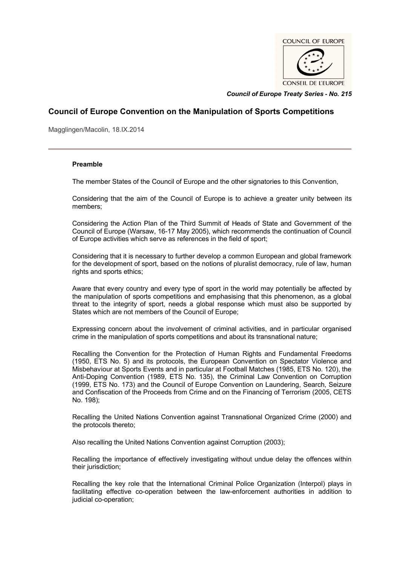

*Council of Europe Treaty Series* **-** *No. 215*

# **Council of Europe Convention on the Manipulation of Sports Competitions**

Magglingen/Macolin, 18.IX.2014

# **Preamble**

The member States of the Council of Europe and the other signatories to this Convention,

Considering that the aim of the Council of Europe is to achieve a greater unity between its members;

Considering the Action Plan of the Third Summit of Heads of State and Government of the Council of Europe (Warsaw, 16-17 May 2005), which recommends the continuation of Council of Europe activities which serve as references in the field of sport;

Considering that it is necessary to further develop a common European and global framework for the development of sport, based on the notions of pluralist democracy, rule of law, human rights and sports ethics;

Aware that every country and every type of sport in the world may potentially be affected by the manipulation of sports competitions and emphasising that this phenomenon, as a global threat to the integrity of sport, needs a global response which must also be supported by States which are not members of the Council of Europe;

Expressing concern about the involvement of criminal activities, and in particular organised crime in the manipulation of sports competitions and about its transnational nature;

Recalling the Convention for the Protection of Human Rights and Fundamental Freedoms (1950, ETS No. 5) and its protocols, the European Convention on Spectator Violence and Misbehaviour at Sports Events and in particular at Football Matches (1985, ETS No. 120), the Anti-Doping Convention (1989, ETS No. 135), the Criminal Law Convention on Corruption (1999, ETS No. 173) and the Council of Europe Convention on Laundering, Search, Seizure and Confiscation of the Proceeds from Crime and on the Financing of Terrorism (2005, CETS No. 198);

Recalling the United Nations Convention against Transnational Organized Crime (2000) and the protocols thereto;

Also recalling the United Nations Convention against Corruption (2003);

Recalling the importance of effectively investigating without undue delay the offences within their jurisdiction;

Recalling the key role that the International Criminal Police Organization (Interpol) plays in facilitating effective co-operation between the law-enforcement authorities in addition to judicial co-operation;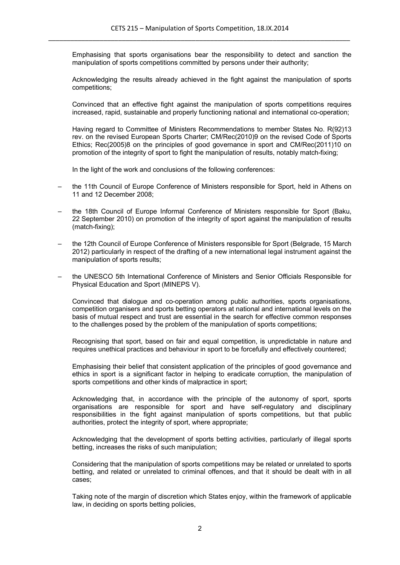Emphasising that sports organisations bear the responsibility to detect and sanction the manipulation of sports competitions committed by persons under their authority;

Acknowledging the results already achieved in the fight against the manipulation of sports competitions;

Convinced that an effective fight against the manipulation of sports competitions requires increased, rapid, sustainable and properly functioning national and international co-operation;

Having regard to Committee of Ministers Recommendations to member States No. R(92)13 rev. on the revised European Sports Charter; CM/Rec(2010)9 on the revised Code of Sports Ethics; Rec(2005)8 on the principles of good governance in sport and CM/Rec(2011)10 on promotion of the integrity of sport to fight the manipulation of results, notably match-fixing;

In the light of the work and conclusions of the following conferences:

- the 11th Council of Europe Conference of Ministers responsible for Sport, held in Athens on 11 and 12 December 2008;
- the 18th Council of Europe Informal Conference of Ministers responsible for Sport (Baku, 22 September 2010) on promotion of the integrity of sport against the manipulation of results (match-fixing);
- the 12th Council of Europe Conference of Ministers responsible for Sport (Belgrade, 15 March 2012) particularly in respect of the drafting of a new international legal instrument against the manipulation of sports results;
- the UNESCO 5th International Conference of Ministers and Senior Officials Responsible for Physical Education and Sport (MINEPS V).

Convinced that dialogue and co-operation among public authorities, sports organisations, competition organisers and sports betting operators at national and international levels on the basis of mutual respect and trust are essential in the search for effective common responses to the challenges posed by the problem of the manipulation of sports competitions;

Recognising that sport, based on fair and equal competition, is unpredictable in nature and requires unethical practices and behaviour in sport to be forcefully and effectively countered;

Emphasising their belief that consistent application of the principles of good governance and ethics in sport is a significant factor in helping to eradicate corruption, the manipulation of sports competitions and other kinds of malpractice in sport;

Acknowledging that, in accordance with the principle of the autonomy of sport, sports organisations are responsible for sport and have self-regulatory and disciplinary responsibilities in the fight against manipulation of sports competitions, but that public authorities, protect the integrity of sport, where appropriate;

Acknowledging that the development of sports betting activities, particularly of illegal sports betting, increases the risks of such manipulation;

Considering that the manipulation of sports competitions may be related or unrelated to sports betting, and related or unrelated to criminal offences, and that it should be dealt with in all cases;

Taking note of the margin of discretion which States enjoy, within the framework of applicable law, in deciding on sports betting policies,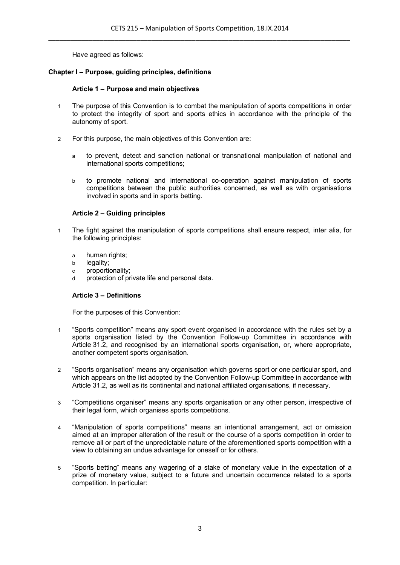Have agreed as follows:

# **Chapter I – Purpose, guiding principles, definitions**

# **Article 1 – Purpose and main objectives**

- 1 The purpose of this Convention is to combat the manipulation of sports competitions in order to protect the integrity of sport and sports ethics in accordance with the principle of the autonomy of sport.
- 2 For this purpose, the main objectives of this Convention are:
	- a to prevent, detect and sanction national or transnational manipulation of national and international sports competitions;
	- b to promote national and international co-operation against manipulation of sports competitions between the public authorities concerned, as well as with organisations involved in sports and in sports betting.

# **Article 2 – Guiding principles**

- 1 The fight against the manipulation of sports competitions shall ensure respect, inter alia, for the following principles:
	- a human rights;
	- b legality;
	- c proportionality;
	- d protection of private life and personal data.

# **Article 3 – Definitions**

For the purposes of this Convention:

- 1 "Sports competition" means any sport event organised in accordance with the rules set by a sports organisation listed by the Convention Follow-up Committee in accordance with Article 31.2, and recognised by an international sports organisation, or, where appropriate, another competent sports organisation.
- 2 "Sports organisation" means any organisation which governs sport or one particular sport, and which appears on the list adopted by the Convention Follow-up Committee in accordance with Article 31.2, as well as its continental and national affiliated organisations, if necessary.
- 3 "Competitions organiser" means any sports organisation or any other person, irrespective of their legal form, which organises sports competitions.
- 4 "Manipulation of sports competitions" means an intentional arrangement, act or omission aimed at an improper alteration of the result or the course of a sports competition in order to remove all or part of the unpredictable nature of the aforementioned sports competition with a view to obtaining an undue advantage for oneself or for others.
- 5 "Sports betting" means any wagering of a stake of monetary value in the expectation of a prize of monetary value, subject to a future and uncertain occurrence related to a sports competition. In particular: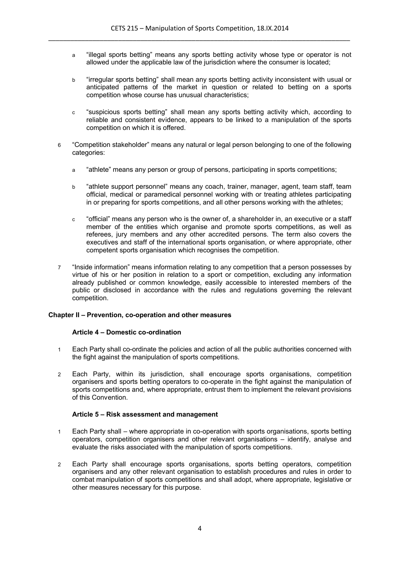- a "illegal sports betting" means any sports betting activity whose type or operator is not allowed under the applicable law of the jurisdiction where the consumer is located;
- b "irregular sports betting" shall mean any sports betting activity inconsistent with usual or anticipated patterns of the market in question or related to betting on a sports competition whose course has unusual characteristics;
- c "suspicious sports betting" shall mean any sports betting activity which, according to reliable and consistent evidence, appears to be linked to a manipulation of the sports competition on which it is offered.
- 6 "Competition stakeholder" means any natural or legal person belonging to one of the following categories:
	- a "athlete" means any person or group of persons, participating in sports competitions;
	- b "athlete support personnel" means any coach, trainer, manager, agent, team staff, team official, medical or paramedical personnel working with or treating athletes participating in or preparing for sports competitions, and all other persons working with the athletes;
	- c "official" means any person who is the owner of, a shareholder in, an executive or a staff member of the entities which organise and promote sports competitions, as well as referees, jury members and any other accredited persons. The term also covers the executives and staff of the international sports organisation, or where appropriate, other competent sports organisation which recognises the competition.
- 7 "Inside information" means information relating to any competition that a person possesses by virtue of his or her position in relation to a sport or competition, excluding any information already published or common knowledge, easily accessible to interested members of the public or disclosed in accordance with the rules and regulations governing the relevant competition.

# **Chapter II – Prevention, co-operation and other measures**

# **Article 4 – Domestic co-ordination**

- 1 Each Party shall co-ordinate the policies and action of all the public authorities concerned with the fight against the manipulation of sports competitions.
- 2 Each Party, within its jurisdiction, shall encourage sports organisations, competition organisers and sports betting operators to co-operate in the fight against the manipulation of sports competitions and, where appropriate, entrust them to implement the relevant provisions of this Convention.

#### **Article 5 – Risk assessment and management**

- 1 Each Party shall where appropriate in co-operation with sports organisations, sports betting operators, competition organisers and other relevant organisations – identify, analyse and evaluate the risks associated with the manipulation of sports competitions.
- 2 Each Party shall encourage sports organisations, sports betting operators, competition organisers and any other relevant organisation to establish procedures and rules in order to combat manipulation of sports competitions and shall adopt, where appropriate, legislative or other measures necessary for this purpose.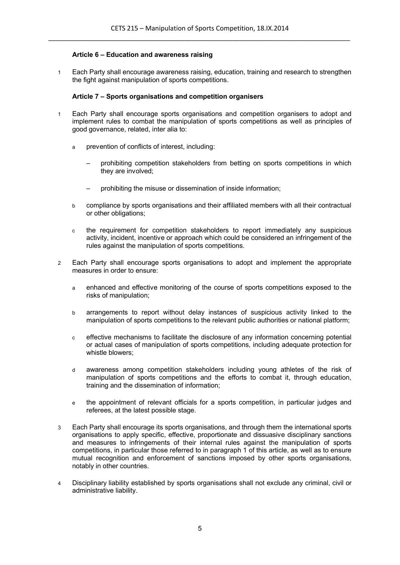# **Article 6 – Education and awareness raising**

1 Each Party shall encourage awareness raising, education, training and research to strengthen the fight against manipulation of sports competitions.

# **Article 7 – Sports organisations and competition organisers**

- 1 Each Party shall encourage sports organisations and competition organisers to adopt and implement rules to combat the manipulation of sports competitions as well as principles of good governance, related, inter alia to:
	- a prevention of conflicts of interest, including:
		- prohibiting competition stakeholders from betting on sports competitions in which they are involved;
		- prohibiting the misuse or dissemination of inside information;
	- b compliance by sports organisations and their affiliated members with all their contractual or other obligations;
	- c the requirement for competition stakeholders to report immediately any suspicious activity, incident, incentive or approach which could be considered an infringement of the rules against the manipulation of sports competitions.
- 2 Each Party shall encourage sports organisations to adopt and implement the appropriate measures in order to ensure:
	- a enhanced and effective monitoring of the course of sports competitions exposed to the risks of manipulation;
	- b arrangements to report without delay instances of suspicious activity linked to the manipulation of sports competitions to the relevant public authorities or national platform:
	- c effective mechanisms to facilitate the disclosure of any information concerning potential or actual cases of manipulation of sports competitions, including adequate protection for whistle blowers;
	- d awareness among competition stakeholders including young athletes of the risk of manipulation of sports competitions and the efforts to combat it, through education, training and the dissemination of information;
	- e the appointment of relevant officials for a sports competition, in particular judges and referees, at the latest possible stage.
- 3 Each Party shall encourage its sports organisations, and through them the international sports organisations to apply specific, effective, proportionate and dissuasive disciplinary sanctions and measures to infringements of their internal rules against the manipulation of sports competitions, in particular those referred to in paragraph 1 of this article, as well as to ensure mutual recognition and enforcement of sanctions imposed by other sports organisations, notably in other countries.
- 4 Disciplinary liability established by sports organisations shall not exclude any criminal, civil or administrative liability.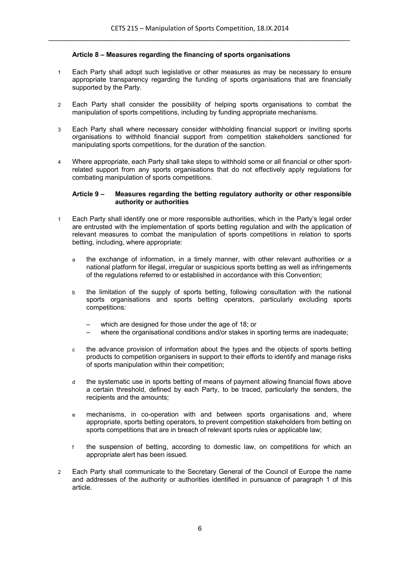### **Article 8 – Measures regarding the financing of sports organisations**

- 1 Each Party shall adopt such legislative or other measures as may be necessary to ensure appropriate transparency regarding the funding of sports organisations that are financially supported by the Party.
- 2 Each Party shall consider the possibility of helping sports organisations to combat the manipulation of sports competitions, including by funding appropriate mechanisms.
- 3 Each Party shall where necessary consider withholding financial support or inviting sports organisations to withhold financial support from competition stakeholders sanctioned for manipulating sports competitions, for the duration of the sanction.
- 4 Where appropriate, each Party shall take steps to withhold some or all financial or other sportrelated support from any sports organisations that do not effectively apply regulations for combating manipulation of sports competitions.

#### **Article 9 – Measures regarding the betting regulatory authority or other responsible authority or authorities**

- 1 Each Party shall identify one or more responsible authorities, which in the Party's legal order are entrusted with the implementation of sports betting regulation and with the application of relevant measures to combat the manipulation of sports competitions in relation to sports betting, including, where appropriate:
	- a the exchange of information, in a timely manner, with other relevant authorities or a national platform for illegal, irregular or suspicious sports betting as well as infringements of the regulations referred to or established in accordance with this Convention;
	- b the limitation of the supply of sports betting, following consultation with the national sports organisations and sports betting operators, particularly excluding sports competitions:
		- which are designed for those under the age of 18; or
		- where the organisational conditions and/or stakes in sporting terms are inadequate;
	- c the advance provision of information about the types and the objects of sports betting products to competition organisers in support to their efforts to identify and manage risks of sports manipulation within their competition;
	- d the systematic use in sports betting of means of payment allowing financial flows above a certain threshold, defined by each Party, to be traced, particularly the senders, the recipients and the amounts;
	- e mechanisms, in co-operation with and between sports organisations and, where appropriate, sports betting operators, to prevent competition stakeholders from betting on sports competitions that are in breach of relevant sports rules or applicable law;
	- f the suspension of betting, according to domestic law, on competitions for which an appropriate alert has been issued.
- 2 Each Party shall communicate to the Secretary General of the Council of Europe the name and addresses of the authority or authorities identified in pursuance of paragraph 1 of this article.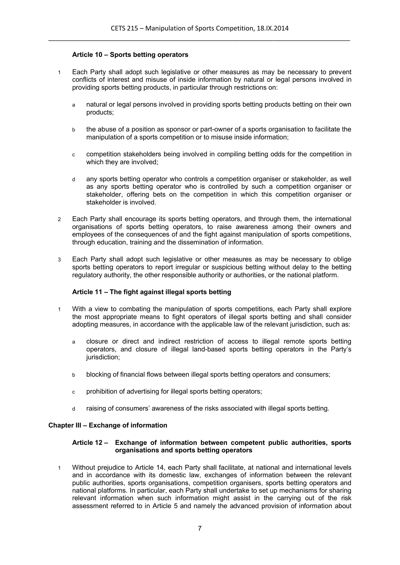# **Article 10 – Sports betting operators**

- 1 Each Party shall adopt such legislative or other measures as may be necessary to prevent conflicts of interest and misuse of inside information by natural or legal persons involved in providing sports betting products, in particular through restrictions on:
	- a natural or legal persons involved in providing sports betting products betting on their own products;
	- b the abuse of a position as sponsor or part-owner of a sports organisation to facilitate the manipulation of a sports competition or to misuse inside information;
	- c competition stakeholders being involved in compiling betting odds for the competition in which they are involved;
	- d any sports betting operator who controls a competition organiser or stakeholder, as well as any sports betting operator who is controlled by such a competition organiser or stakeholder, offering bets on the competition in which this competition organiser or stakeholder is involved.
- 2 Each Party shall encourage its sports betting operators, and through them, the international organisations of sports betting operators, to raise awareness among their owners and employees of the consequences of and the fight against manipulation of sports competitions, through education, training and the dissemination of information.
- 3 Each Party shall adopt such legislative or other measures as may be necessary to oblige sports betting operators to report irregular or suspicious betting without delay to the betting regulatory authority, the other responsible authority or authorities, or the national platform.

# **Article 11 – The fight against illegal sports betting**

- 1 With a view to combating the manipulation of sports competitions, each Party shall explore the most appropriate means to fight operators of illegal sports betting and shall consider adopting measures, in accordance with the applicable law of the relevant jurisdiction, such as:
	- a closure or direct and indirect restriction of access to illegal remote sports betting operators, and closure of illegal land-based sports betting operators in the Party's jurisdiction;
	- b blocking of financial flows between illegal sports betting operators and consumers;
	- c prohibition of advertising for illegal sports betting operators;
	- d raising of consumers' awareness of the risks associated with illegal sports betting.

# **Chapter III – Exchange of information**

### **Article 12 – Exchange of information between competent public authorities, sports organisations and sports betting operators**

1 Without prejudice to Article 14, each Party shall facilitate, at national and international levels and in accordance with its domestic law, exchanges of information between the relevant public authorities, sports organisations, competition organisers, sports betting operators and national platforms. In particular, each Party shall undertake to set up mechanisms for sharing relevant information when such information might assist in the carrying out of the risk assessment referred to in Article 5 and namely the advanced provision of information about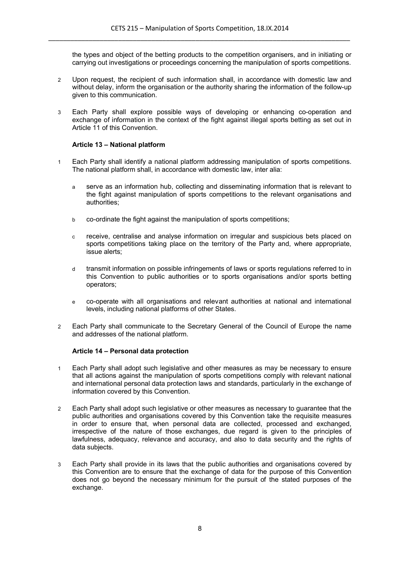the types and object of the betting products to the competition organisers, and in initiating or carrying out investigations or proceedings concerning the manipulation of sports competitions.

- 2 Upon request, the recipient of such information shall, in accordance with domestic law and without delay, inform the organisation or the authority sharing the information of the follow-up given to this communication.
- 3 Each Party shall explore possible ways of developing or enhancing co-operation and exchange of information in the context of the fight against illegal sports betting as set out in Article 11 of this Convention.

# **Article 13 – National platform**

- 1 Each Party shall identify a national platform addressing manipulation of sports competitions. The national platform shall, in accordance with domestic law, inter alia:
	- a serve as an information hub, collecting and disseminating information that is relevant to the fight against manipulation of sports competitions to the relevant organisations and authorities;
	- b co-ordinate the fight against the manipulation of sports competitions;
	- c receive, centralise and analyse information on irregular and suspicious bets placed on sports competitions taking place on the territory of the Party and, where appropriate, issue alerts;
	- d transmit information on possible infringements of laws or sports regulations referred to in this Convention to public authorities or to sports organisations and/or sports betting operators;
	- e co-operate with all organisations and relevant authorities at national and international levels, including national platforms of other States.
- 2 Each Party shall communicate to the Secretary General of the Council of Europe the name and addresses of the national platform.

# **Article 14 – Personal data protection**

- 1 Each Party shall adopt such legislative and other measures as may be necessary to ensure that all actions against the manipulation of sports competitions comply with relevant national and international personal data protection laws and standards, particularly in the exchange of information covered by this Convention.
- 2 Each Party shall adopt such legislative or other measures as necessary to guarantee that the public authorities and organisations covered by this Convention take the requisite measures in order to ensure that, when personal data are collected, processed and exchanged, irrespective of the nature of those exchanges, due regard is given to the principles of lawfulness, adequacy, relevance and accuracy, and also to data security and the rights of data subjects.
- 3 Each Party shall provide in its laws that the public authorities and organisations covered by this Convention are to ensure that the exchange of data for the purpose of this Convention does not go beyond the necessary minimum for the pursuit of the stated purposes of the exchange.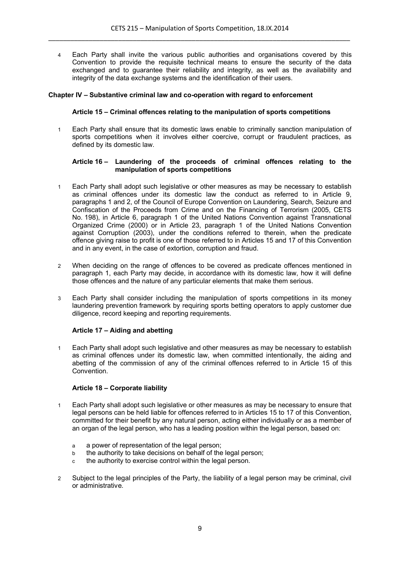4 Each Party shall invite the various public authorities and organisations covered by this Convention to provide the requisite technical means to ensure the security of the data exchanged and to guarantee their reliability and integrity, as well as the availability and integrity of the data exchange systems and the identification of their users.

# **Chapter IV – Substantive criminal law and co-operation with regard to enforcement**

### **Article 15 – Criminal offences relating to the manipulation of sports competitions**

1 Each Party shall ensure that its domestic laws enable to criminally sanction manipulation of sports competitions when it involves either coercive, corrupt or fraudulent practices, as defined by its domestic law.

### **Article 16 – Laundering of the proceeds of criminal offences relating to the manipulation of sports competitions**

- 1 Each Party shall adopt such legislative or other measures as may be necessary to establish as criminal offences under its domestic law the conduct as referred to in Article 9, paragraphs 1 and 2, of the Council of Europe Convention on Laundering, Search, Seizure and Confiscation of the Proceeds from Crime and on the Financing of Terrorism (2005, CETS No. 198), in Article 6, paragraph 1 of the United Nations Convention against Transnational Organized Crime (2000) or in Article 23, paragraph 1 of the United Nations Convention against Corruption (2003), under the conditions referred to therein, when the predicate offence giving raise to profit is one of those referred to in Articles 15 and 17 of this Convention and in any event, in the case of extortion, corruption and fraud.
- 2 When deciding on the range of offences to be covered as predicate offences mentioned in paragraph 1, each Party may decide, in accordance with its domestic law, how it will define those offences and the nature of any particular elements that make them serious.
- 3 Each Party shall consider including the manipulation of sports competitions in its money laundering prevention framework by requiring sports betting operators to apply customer due diligence, record keeping and reporting requirements.

# **Article 17 – Aiding and abetting**

1 Each Party shall adopt such legislative and other measures as may be necessary to establish as criminal offences under its domestic law, when committed intentionally, the aiding and abetting of the commission of any of the criminal offences referred to in Article 15 of this Convention.

# **Article 18 – Corporate liability**

- 1 Each Party shall adopt such legislative or other measures as may be necessary to ensure that legal persons can be held liable for offences referred to in Articles 15 to 17 of this Convention, committed for their benefit by any natural person, acting either individually or as a member of an organ of the legal person, who has a leading position within the legal person, based on:
	- a a power of representation of the legal person;
	- b the authority to take decisions on behalf of the legal person;
	- c the authority to exercise control within the legal person.
- 2 Subject to the legal principles of the Party, the liability of a legal person may be criminal, civil or administrative.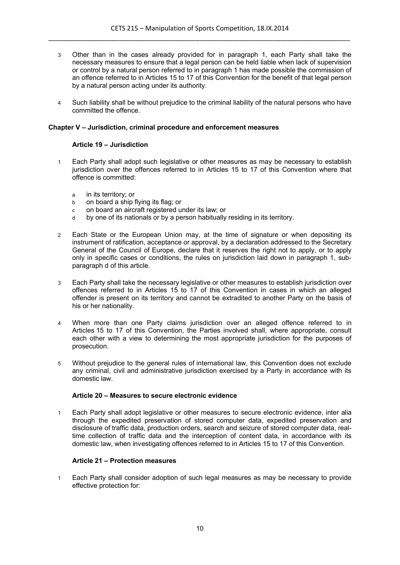- 3 Other than in the cases already provided for in paragraph 1, each Party shall take the necessary measures to ensure that a legal person can be held liable when lack of supervision or control by a natural person referred to in paragraph 1 has made possible the commission of an offence referred to in Articles 15 to 17 of this Convention for the benefit of that legal person by a natural person acting under its authority.
- 4 Such liability shall be without prejudice to the criminal liability of the natural persons who have committed the offence.

### **Chapter V – Jurisdiction, criminal procedure and enforcement measures**

### **Article 19 – Jurisdiction**

- 1 Each Party shall adopt such legislative or other measures as may be necessary to establish jurisdiction over the offences referred to in Articles 15 to 17 of this Convention where that offence is committed:
	- a in its territory; or
	- b on board a ship flying its flag; or
	- c on board an aircraft registered under its law; or
	- d by one of its nationals or by a person habitually residing in its territory.
- 2 Each State or the European Union may, at the time of signature or when depositing its instrument of ratification, acceptance or approval, by a declaration addressed to the Secretary General of the Council of Europe, declare that it reserves the right not to apply, or to apply only in specific cases or conditions, the rules on jurisdiction laid down in paragraph 1, subparagraph d of this article.
- 3 Each Party shall take the necessary legislative or other measures to establish jurisdiction over offences referred to in Articles 15 to 17 of this Convention in cases in which an alleged offender is present on its territory and cannot be extradited to another Party on the basis of his or her nationality.
- 4 When more than one Party claims jurisdiction over an alleged offence referred to in Articles 15 to 17 of this Convention, the Parties involved shall, where appropriate, consult each other with a view to determining the most appropriate jurisdiction for the purposes of prosecution.
- 5 Without prejudice to the general rules of international law, this Convention does not exclude any criminal, civil and administrative jurisdiction exercised by a Party in accordance with its domestic law.

#### **Article 20 – Measures to secure electronic evidence**

1 Each Party shall adopt legislative or other measures to secure electronic evidence, inter alia through the expedited preservation of stored computer data, expedited preservation and disclosure of traffic data, production orders, search and seizure of stored computer data, realtime collection of traffic data and the interception of content data, in accordance with its domestic law, when investigating offences referred to in Articles 15 to 17 of this Convention.

### **Article 21 – Protection measures**

1 Each Party shall consider adoption of such legal measures as may be necessary to provide effective protection for: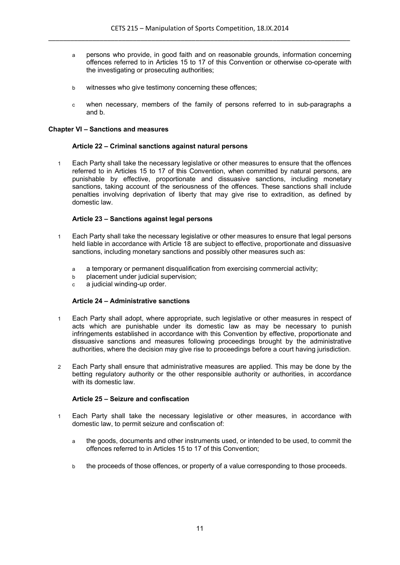- a persons who provide, in good faith and on reasonable grounds, information concerning offences referred to in Articles 15 to 17 of this Convention or otherwise co-operate with the investigating or prosecuting authorities;
- b witnesses who give testimony concerning these offences;
- c when necessary, members of the family of persons referred to in sub-paragraphs a and b.

### **Chapter VI – Sanctions and measures**

### **Article 22 – Criminal sanctions against natural persons**

1 Each Party shall take the necessary legislative or other measures to ensure that the offences referred to in Articles 15 to 17 of this Convention, when committed by natural persons, are punishable by effective, proportionate and dissuasive sanctions, including monetary sanctions, taking account of the seriousness of the offences. These sanctions shall include penalties involving deprivation of liberty that may give rise to extradition, as defined by domestic law.

# **Article 23 – Sanctions against legal persons**

- 1 Each Party shall take the necessary legislative or other measures to ensure that legal persons held liable in accordance with Article 18 are subject to effective, proportionate and dissuasive sanctions, including monetary sanctions and possibly other measures such as:
	- a a temporary or permanent disqualification from exercising commercial activity;
	- b placement under judicial supervision;
	- c a judicial winding-up order.

#### **Article 24 – Administrative sanctions**

- 1 Each Party shall adopt, where appropriate, such legislative or other measures in respect of acts which are punishable under its domestic law as may be necessary to punish infringements established in accordance with this Convention by effective, proportionate and dissuasive sanctions and measures following proceedings brought by the administrative authorities, where the decision may give rise to proceedings before a court having jurisdiction.
- 2 Each Party shall ensure that administrative measures are applied. This may be done by the betting regulatory authority or the other responsible authority or authorities, in accordance with its domestic law.

# **Article 25 – Seizure and confiscation**

- 1 Each Party shall take the necessary legislative or other measures, in accordance with domestic law, to permit seizure and confiscation of:
	- a the goods, documents and other instruments used, or intended to be used, to commit the offences referred to in Articles 15 to 17 of this Convention;
	- b the proceeds of those offences, or property of a value corresponding to those proceeds.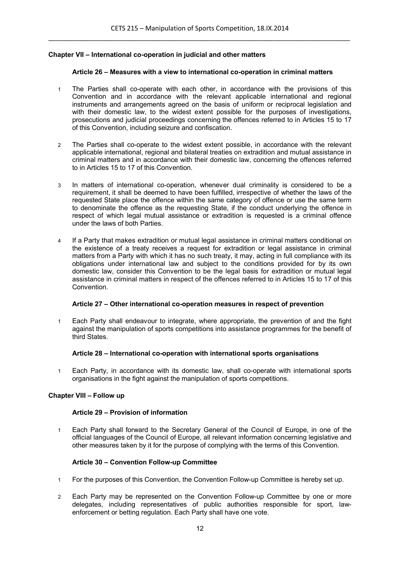# **Chapter VII – International co-operation in judicial and other matters**

#### **Article 26 – Measures with a view to international co-operation in criminal matters**

- 1 The Parties shall co-operate with each other, in accordance with the provisions of this Convention and in accordance with the relevant applicable international and regional instruments and arrangements agreed on the basis of uniform or reciprocal legislation and with their domestic law, to the widest extent possible for the purposes of investigations, prosecutions and judicial proceedings concerning the offences referred to in Articles 15 to 17 of this Convention, including seizure and confiscation.
- 2 The Parties shall co-operate to the widest extent possible, in accordance with the relevant applicable international, regional and bilateral treaties on extradition and mutual assistance in criminal matters and in accordance with their domestic law, concerning the offences referred to in Articles 15 to 17 of this Convention.
- 3 In matters of international co-operation, whenever dual criminality is considered to be a requirement, it shall be deemed to have been fulfilled, irrespective of whether the laws of the requested State place the offence within the same category of offence or use the same term to denominate the offence as the requesting State, if the conduct underlying the offence in respect of which legal mutual assistance or extradition is requested is a criminal offence under the laws of both Parties.
- 4 If a Party that makes extradition or mutual legal assistance in criminal matters conditional on the existence of a treaty receives a request for extradition or legal assistance in criminal matters from a Party with which it has no such treaty, it may, acting in full compliance with its obligations under international law and subject to the conditions provided for by its own domestic law, consider this Convention to be the legal basis for extradition or mutual legal assistance in criminal matters in respect of the offences referred to in Articles 15 to 17 of this Convention.

#### **Article 27 – Other international co-operation measures in respect of prevention**

1 Each Party shall endeavour to integrate, where appropriate, the prevention of and the fight against the manipulation of sports competitions into assistance programmes for the benefit of third States.

#### **Article 28 – International co-operation with international sports organisations**

1 Each Party, in accordance with its domestic law, shall co-operate with international sports organisations in the fight against the manipulation of sports competitions.

#### **Chapter VIII – Follow up**

#### **Article 29 – Provision of information**

1 Each Party shall forward to the Secretary General of the Council of Europe, in one of the official languages of the Council of Europe, all relevant information concerning legislative and other measures taken by it for the purpose of complying with the terms of this Convention.

# **Article 30 – Convention Follow-up Committee**

- 1 For the purposes of this Convention, the Convention Follow-up Committee is hereby set up.
- 2 Each Party may be represented on the Convention Follow-up Committee by one or more delegates, including representatives of public authorities responsible for sport, lawenforcement or betting regulation. Each Party shall have one vote.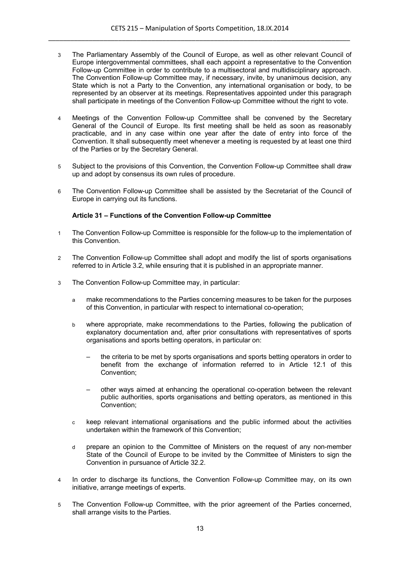- 3 The Parliamentary Assembly of the Council of Europe, as well as other relevant Council of Europe intergovernmental committees, shall each appoint a representative to the Convention Follow-up Committee in order to contribute to a multisectoral and multidisciplinary approach. The Convention Follow-up Committee may, if necessary, invite, by unanimous decision, any State which is not a Party to the Convention, any international organisation or body, to be represented by an observer at its meetings. Representatives appointed under this paragraph shall participate in meetings of the Convention Follow-up Committee without the right to vote.
- 4 Meetings of the Convention Follow-up Committee shall be convened by the Secretary General of the Council of Europe. Its first meeting shall be held as soon as reasonably practicable, and in any case within one year after the date of entry into force of the Convention. It shall subsequently meet whenever a meeting is requested by at least one third of the Parties or by the Secretary General.
- 5 Subject to the provisions of this Convention, the Convention Follow-up Committee shall draw up and adopt by consensus its own rules of procedure.
- 6 The Convention Follow-up Committee shall be assisted by the Secretariat of the Council of Europe in carrying out its functions.

# **Article 31 – Functions of the Convention Follow-up Committee**

- 1 The Convention Follow-up Committee is responsible for the follow-up to the implementation of this Convention.
- 2 The Convention Follow-up Committee shall adopt and modify the list of sports organisations referred to in Article 3.2, while ensuring that it is published in an appropriate manner.
- 3 The Convention Follow-up Committee may, in particular:
	- a make recommendations to the Parties concerning measures to be taken for the purposes of this Convention, in particular with respect to international co-operation;
	- b where appropriate, make recommendations to the Parties, following the publication of explanatory documentation and, after prior consultations with representatives of sports organisations and sports betting operators, in particular on:
		- the criteria to be met by sports organisations and sports betting operators in order to benefit from the exchange of information referred to in Article 12.1 of this Convention;
		- other ways aimed at enhancing the operational co-operation between the relevant public authorities, sports organisations and betting operators, as mentioned in this Convention;
	- c keep relevant international organisations and the public informed about the activities undertaken within the framework of this Convention;
	- d prepare an opinion to the Committee of Ministers on the request of any non-member State of the Council of Europe to be invited by the Committee of Ministers to sign the Convention in pursuance of Article 32.2.
- 4 In order to discharge its functions, the Convention Follow-up Committee may, on its own initiative, arrange meetings of experts.
- 5 The Convention Follow-up Committee, with the prior agreement of the Parties concerned, shall arrange visits to the Parties.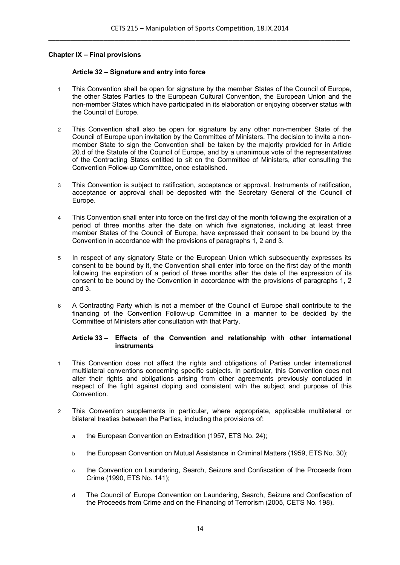# **Chapter IX – Final provisions**

### **Article 32 – Signature and entry into force**

- 1 This Convention shall be open for signature by the member States of the Council of Europe, the other States Parties to the European Cultural Convention, the European Union and the non-member States which have participated in its elaboration or enjoying observer status with the Council of Europe.
- 2 This Convention shall also be open for signature by any other non-member State of the Council of Europe upon invitation by the Committee of Ministers. The decision to invite a nonmember State to sign the Convention shall be taken by the majority provided for in Article 20.d of the Statute of the Council of Europe, and by a unanimous vote of the representatives of the Contracting States entitled to sit on the Committee of Ministers, after consulting the Convention Follow-up Committee, once established.
- 3 This Convention is subject to ratification, acceptance or approval. Instruments of ratification, acceptance or approval shall be deposited with the Secretary General of the Council of Europe.
- 4 This Convention shall enter into force on the first day of the month following the expiration of a period of three months after the date on which five signatories, including at least three member States of the Council of Europe, have expressed their consent to be bound by the Convention in accordance with the provisions of paragraphs 1, 2 and 3.
- 5 In respect of any signatory State or the European Union which subsequently expresses its consent to be bound by it, the Convention shall enter into force on the first day of the month following the expiration of a period of three months after the date of the expression of its consent to be bound by the Convention in accordance with the provisions of paragraphs 1, 2 and 3.
- 6 A Contracting Party which is not a member of the Council of Europe shall contribute to the financing of the Convention Follow-up Committee in a manner to be decided by the Committee of Ministers after consultation with that Party.

### **Article 33 – Effects of the Convention and relationship with other international instruments**

- 1 This Convention does not affect the rights and obligations of Parties under international multilateral conventions concerning specific subjects. In particular, this Convention does not alter their rights and obligations arising from other agreements previously concluded in respect of the fight against doping and consistent with the subject and purpose of this **Convention**
- 2 This Convention supplements in particular, where appropriate, applicable multilateral or bilateral treaties between the Parties, including the provisions of:
	- a the European Convention on Extradition (1957, ETS No. 24);
	- b the European Convention on Mutual Assistance in Criminal Matters (1959, ETS No. 30);
	- c the Convention on Laundering, Search, Seizure and Confiscation of the Proceeds from Crime (1990, ETS No. 141);
	- d The Council of Europe Convention on Laundering, Search, Seizure and Confiscation of the Proceeds from Crime and on the Financing of Terrorism (2005, CETS No. 198).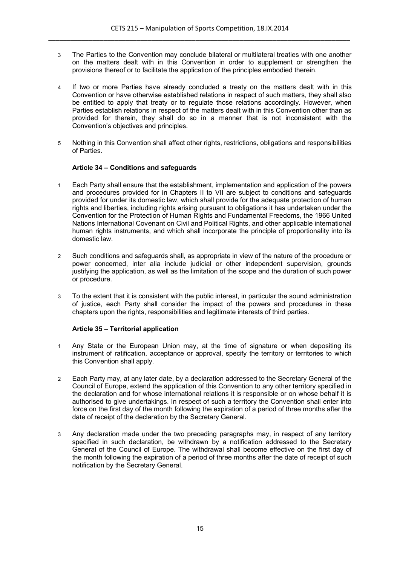- 3 The Parties to the Convention may conclude bilateral or multilateral treaties with one another on the matters dealt with in this Convention in order to supplement or strengthen the provisions thereof or to facilitate the application of the principles embodied therein.
- 4 If two or more Parties have already concluded a treaty on the matters dealt with in this Convention or have otherwise established relations in respect of such matters, they shall also be entitled to apply that treaty or to regulate those relations accordingly. However, when Parties establish relations in respect of the matters dealt with in this Convention other than as provided for therein, they shall do so in a manner that is not inconsistent with the Convention's objectives and principles.
- 5 Nothing in this Convention shall affect other rights, restrictions, obligations and responsibilities of Parties.

# **Article 34 – Conditions and safeguards**

- 1 Each Party shall ensure that the establishment, implementation and application of the powers and procedures provided for in Chapters II to VII are subject to conditions and safeguards provided for under its domestic law, which shall provide for the adequate protection of human rights and liberties, including rights arising pursuant to obligations it has undertaken under the Convention for the Protection of Human Rights and Fundamental Freedoms, the 1966 United Nations International Covenant on Civil and Political Rights, and other applicable international human rights instruments, and which shall incorporate the principle of proportionality into its domestic law.
- 2 Such conditions and safeguards shall, as appropriate in view of the nature of the procedure or power concerned, inter alia include judicial or other independent supervision, grounds justifying the application, as well as the limitation of the scope and the duration of such power or procedure.
- 3 To the extent that it is consistent with the public interest, in particular the sound administration of justice, each Party shall consider the impact of the powers and procedures in these chapters upon the rights, responsibilities and legitimate interests of third parties.

# **Article 35 – Territorial application**

- 1 Any State or the European Union may, at the time of signature or when depositing its instrument of ratification, acceptance or approval, specify the territory or territories to which this Convention shall apply.
- 2 Each Party may, at any later date, by a declaration addressed to the Secretary General of the Council of Europe, extend the application of this Convention to any other territory specified in the declaration and for whose international relations it is responsible or on whose behalf it is authorised to give undertakings. In respect of such a territory the Convention shall enter into force on the first day of the month following the expiration of a period of three months after the date of receipt of the declaration by the Secretary General.
- 3 Any declaration made under the two preceding paragraphs may, in respect of any territory specified in such declaration, be withdrawn by a notification addressed to the Secretary General of the Council of Europe. The withdrawal shall become effective on the first day of the month following the expiration of a period of three months after the date of receipt of such notification by the Secretary General.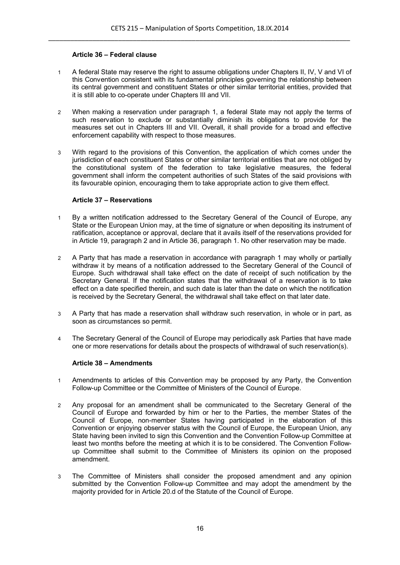# **Article 36 – Federal clause**

- 1 A federal State may reserve the right to assume obligations under Chapters II, IV, V and VI of this Convention consistent with its fundamental principles governing the relationship between its central government and constituent States or other similar territorial entities, provided that it is still able to co-operate under Chapters III and VII.
- 2 When making a reservation under paragraph 1, a federal State may not apply the terms of such reservation to exclude or substantially diminish its obligations to provide for the measures set out in Chapters III and VII. Overall, it shall provide for a broad and effective enforcement capability with respect to those measures.
- 3 With regard to the provisions of this Convention, the application of which comes under the jurisdiction of each constituent States or other similar territorial entities that are not obliged by the constitutional system of the federation to take legislative measures, the federal government shall inform the competent authorities of such States of the said provisions with its favourable opinion, encouraging them to take appropriate action to give them effect.

### **Article 37 – Reservations**

- 1 By a written notification addressed to the Secretary General of the Council of Europe, any State or the European Union may, at the time of signature or when depositing its instrument of ratification, acceptance or approval, declare that it avails itself of the reservations provided for in Article 19, paragraph 2 and in Article 36, paragraph 1. No other reservation may be made.
- 2 A Party that has made a reservation in accordance with paragraph 1 may wholly or partially withdraw it by means of a notification addressed to the Secretary General of the Council of Europe. Such withdrawal shall take effect on the date of receipt of such notification by the Secretary General. If the notification states that the withdrawal of a reservation is to take effect on a date specified therein, and such date is later than the date on which the notification is received by the Secretary General, the withdrawal shall take effect on that later date.
- 3 A Party that has made a reservation shall withdraw such reservation, in whole or in part, as soon as circumstances so permit.
- 4 The Secretary General of the Council of Europe may periodically ask Parties that have made one or more reservations for details about the prospects of withdrawal of such reservation(s).

# **Article 38 – Amendments**

- 1 Amendments to articles of this Convention may be proposed by any Party, the Convention Follow-up Committee or the Committee of Ministers of the Council of Europe.
- 2 Any proposal for an amendment shall be communicated to the Secretary General of the Council of Europe and forwarded by him or her to the Parties, the member States of the Council of Europe, non-member States having participated in the elaboration of this Convention or enjoying observer status with the Council of Europe, the European Union, any State having been invited to sign this Convention and the Convention Follow-up Committee at least two months before the meeting at which it is to be considered. The Convention Followup Committee shall submit to the Committee of Ministers its opinion on the proposed amendment.
- 3 The Committee of Ministers shall consider the proposed amendment and any opinion submitted by the Convention Follow-up Committee and may adopt the amendment by the majority provided for in Article 20.d of the Statute of the Council of Europe.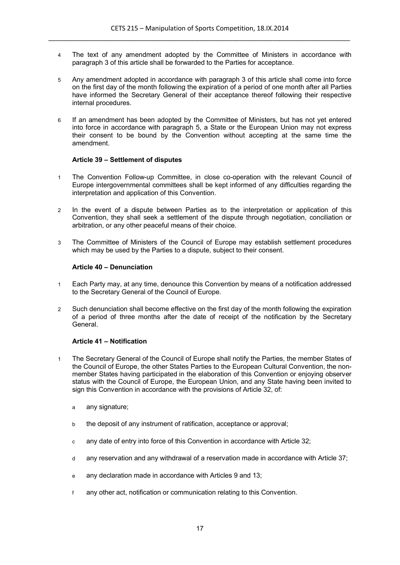- 4 The text of any amendment adopted by the Committee of Ministers in accordance with paragraph 3 of this article shall be forwarded to the Parties for acceptance.
- 5 Any amendment adopted in accordance with paragraph 3 of this article shall come into force on the first day of the month following the expiration of a period of one month after all Parties have informed the Secretary General of their acceptance thereof following their respective internal procedures.
- 6 If an amendment has been adopted by the Committee of Ministers, but has not yet entered into force in accordance with paragraph 5, a State or the European Union may not express their consent to be bound by the Convention without accepting at the same time the amendment.

### **Article 39 – Settlement of disputes**

- 1 The Convention Follow-up Committee, in close co-operation with the relevant Council of Europe intergovernmental committees shall be kept informed of any difficulties regarding the interpretation and application of this Convention.
- 2 In the event of a dispute between Parties as to the interpretation or application of this Convention, they shall seek a settlement of the dispute through negotiation, conciliation or arbitration, or any other peaceful means of their choice.
- 3 The Committee of Ministers of the Council of Europe may establish settlement procedures which may be used by the Parties to a dispute, subject to their consent.

### **Article 40 – Denunciation**

- 1 Each Party may, at any time, denounce this Convention by means of a notification addressed to the Secretary General of the Council of Europe.
- 2 Such denunciation shall become effective on the first day of the month following the expiration of a period of three months after the date of receipt of the notification by the Secretary General.

# **Article 41 – Notification**

- 1 The Secretary General of the Council of Europe shall notify the Parties, the member States of the Council of Europe, the other States Parties to the European Cultural Convention, the nonmember States having participated in the elaboration of this Convention or enjoying observer status with the Council of Europe, the European Union, and any State having been invited to sign this Convention in accordance with the provisions of Article 32, of:
	- a any signature;
	- b the deposit of any instrument of ratification, acceptance or approval;
	- c any date of entry into force of this Convention in accordance with Article 32;
	- d any reservation and any withdrawal of a reservation made in accordance with Article 37;
	- e any declaration made in accordance with Articles 9 and 13;
	- f any other act, notification or communication relating to this Convention.